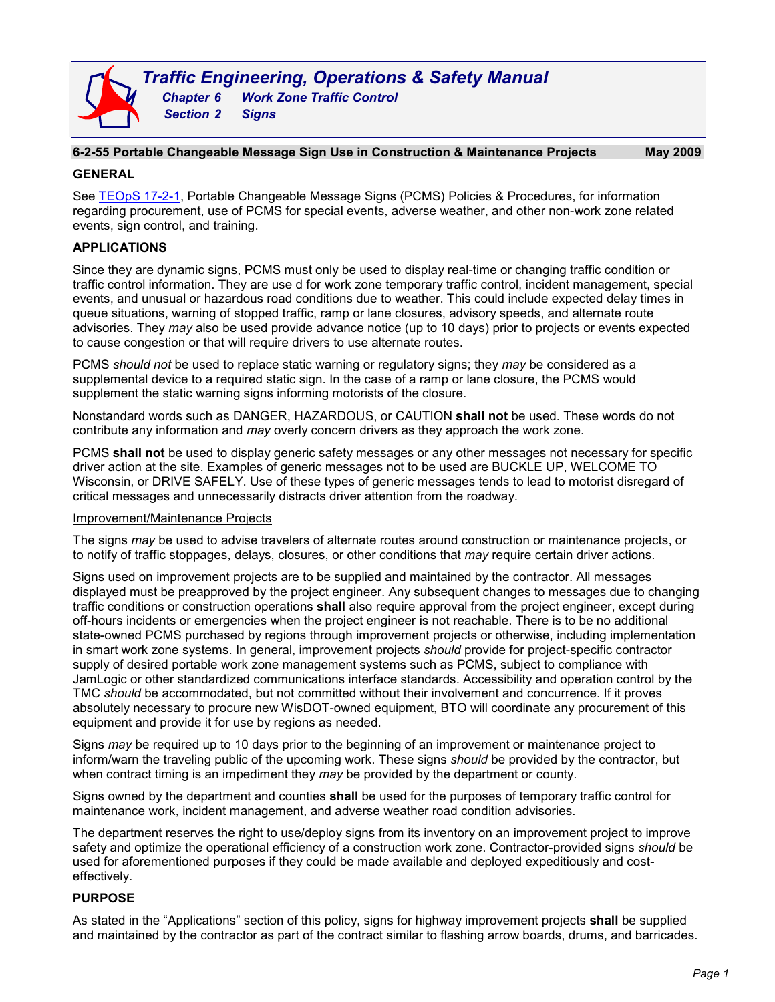#### **6-2-55 Portable Changeable Message Sign Use in Construction & Maintenance Projects May 2009**

#### **GENERAL**

See [TEOpS](http://wisconsindot.gov/dtsdManuals/traffic-ops/manuals-and-standards/teops/17-02.pdf) 17-2-1, Portable Changeable Message Signs (PCMS) Policies & Procedures, for information regarding procurement, use of PCMS for special events, adverse weather, and other non-work zone related events, sign control, and training.

# **APPLICATIONS**

Since they are dynamic signs, PCMS must only be used to display real-time or changing traffic condition or traffic control information. They are use d for work zone temporary traffic control, incident management, special events, and unusual or hazardous road conditions due to weather. This could include expected delay times in queue situations, warning of stopped traffic, ramp or lane closures, advisory speeds, and alternate route advisories. They *may* also be used provide advance notice (up to 10 days) prior to projects or events expected to cause congestion or that will require drivers to use alternate routes.

PCMS *should not* be used to replace static warning or regulatory signs; they *may* be considered as a supplemental device to a required static sign. In the case of a ramp or lane closure, the PCMS would supplement the static warning signs informing motorists of the closure.

Nonstandard words such as DANGER, HAZARDOUS, or CAUTION **shall not** be used. These words do not contribute any information and *may* overly concern drivers as they approach the work zone.

PCMS **shall not** be used to display generic safety messages or any other messages not necessary for specific driver action at the site. Examples of generic messages not to be used are BUCKLE UP, WELCOME TO Wisconsin, or DRIVE SAFELY. Use of these types of generic messages tends to lead to motorist disregard of critical messages and unnecessarily distracts driver attention from the roadway.

# Improvement/Maintenance Projects

The signs *may* be used to advise travelers of alternate routes around construction or maintenance projects, or to notify of traffic stoppages, delays, closures, or other conditions that *may* require certain driver actions.

Signs used on improvement projects are to be supplied and maintained by the contractor. All messages displayed must be preapproved by the project engineer. Any subsequent changes to messages due to changing traffic conditions or construction operations **shall** also require approval from the project engineer, except during off-hours incidents or emergencies when the project engineer is not reachable. There is to be no additional state-owned PCMS purchased by regions through improvement projects or otherwise, including implementation in smart work zone systems. In general, improvement projects *should* provide for project-specific contractor supply of desired portable work zone management systems such as PCMS, subject to compliance with JamLogic or other standardized communications interface standards. Accessibility and operation control by the TMC *should* be accommodated, but not committed without their involvement and concurrence. If it proves absolutely necessary to procure new WisDOT-owned equipment, BTO will coordinate any procurement of this equipment and provide it for use by regions as needed.

Signs *may* be required up to 10 days prior to the beginning of an improvement or maintenance project to inform/warn the traveling public of the upcoming work. These signs *should* be provided by the contractor, but when contract timing is an impediment they *may* be provided by the department or county.

Signs owned by the department and counties **shall** be used for the purposes of temporary traffic control for maintenance work, incident management, and adverse weather road condition advisories.

The department reserves the right to use/deploy signs from its inventory on an improvement project to improve safety and optimize the operational efficiency of a construction work zone. Contractor-provided signs *should* be used for aforementioned purposes if they could be made available and deployed expeditiously and costeffectively.

# **PURPOSE**

As stated in the "Applications" section of this policy, signs for highway improvement projects **shall** be supplied and maintained by the contractor as part of the contract similar to flashing arrow boards, drums, and barricades.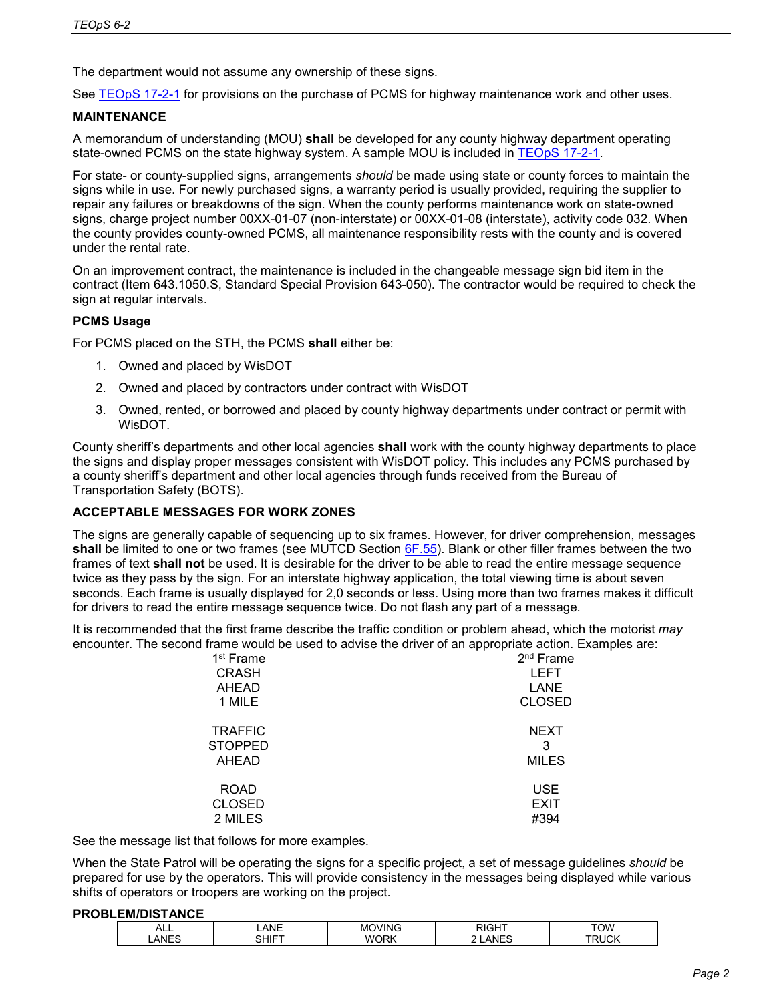The department would not assume any ownership of these signs.

See [TEOpS 17-2-1](http://wisconsindot.gov/dtsdManuals/traffic-ops/manuals-and-standards/teops/17-02.pdf) for provisions on the purchase of PCMS for highway maintenance work and other uses.

#### **MAINTENANCE**

A memorandum of understanding (MOU) **shall** be developed for any county highway department operating state-owned PCMS on the state highway system. A sample MOU is included in [TEOpS 17-2-1.](http://wisconsindot.gov/dtsdManuals/traffic-ops/manuals-and-standards/teops/17-02.pdf)

For state- or county-supplied signs, arrangements *should* be made using state or county forces to maintain the signs while in use. For newly purchased signs, a warranty period is usually provided, requiring the supplier to repair any failures or breakdowns of the sign. When the county performs maintenance work on state-owned signs, charge project number 00XX-01-07 (non-interstate) or 00XX-01-08 (interstate), activity code 032. When the county provides county-owned PCMS, all maintenance responsibility rests with the county and is covered under the rental rate.

On an improvement contract, the maintenance is included in the changeable message sign bid item in the contract (Item 643.1050.S, Standard Special Provision 643-050). The contractor would be required to check the sign at regular intervals.

# **PCMS Usage**

For PCMS placed on the STH, the PCMS **shall** either be:

- 1. Owned and placed by WisDOT
- 2. Owned and placed by contractors under contract with WisDOT
- 3. Owned, rented, or borrowed and placed by county highway departments under contract or permit with WisDOT.

County sheriff's departments and other local agencies **shall** work with the county highway departments to place the signs and display proper messages consistent with WisDOT policy. This includes any PCMS purchased by a county sheriff's department and other local agencies through funds received from the Bureau of Transportation Safety (BOTS).

#### **ACCEPTABLE MESSAGES FOR WORK ZONES**

The signs are generally capable of sequencing up to six frames. However, for driver comprehension, messages **shall** be limited to one or two frames (see MUTCD Section [6F.55\)](http://wisconsindot.gov/dtsdManuals/traffic-ops/manuals-and-standards/mutcd-ch06.pdf). Blank or other filler frames between the two frames of text **shall not** be used. It is desirable for the driver to be able to read the entire message sequence twice as they pass by the sign. For an interstate highway application, the total viewing time is about seven seconds. Each frame is usually displayed for 2,0 seconds or less. Using more than two frames makes it difficult for drivers to read the entire message sequence twice. Do not flash any part of a message.

It is recommended that the first frame describe the traffic condition or problem ahead, which the motorist *may* encounter. The second frame would be used to advise the driver of an appropriate action. Examples are:

| <b>LEFT</b>   |
|---------------|
| LANE          |
| <b>CLOSED</b> |
| <b>NEXT</b>   |
| 3             |
| <b>MILES</b>  |
| <b>USE</b>    |
| <b>EXIT</b>   |
| #394          |
|               |

See the message list that follows for more examples.

When the State Patrol will be operating the signs for a specific project, a set of message guidelines *should* be prepared for use by the operators. This will provide consistency in the messages being displayed while various shifts of operators or troopers are working on the project.

#### **PROBLEM/DISTANCE**

| $\sim$<br>¬∟∟      | $\ddot{\phantom{0}}$<br>۸NF<br>. <u>.</u> | $\cdots$<br>. .<br>A ALC<br>'INL |          | VOT    |  |
|--------------------|-------------------------------------------|----------------------------------|----------|--------|--|
| . ANF <sup>-</sup> | . <del>.</del>                            | ∕ ADM<br>M                       | αNι<br>. | $\sim$ |  |
|                    |                                           |                                  |          |        |  |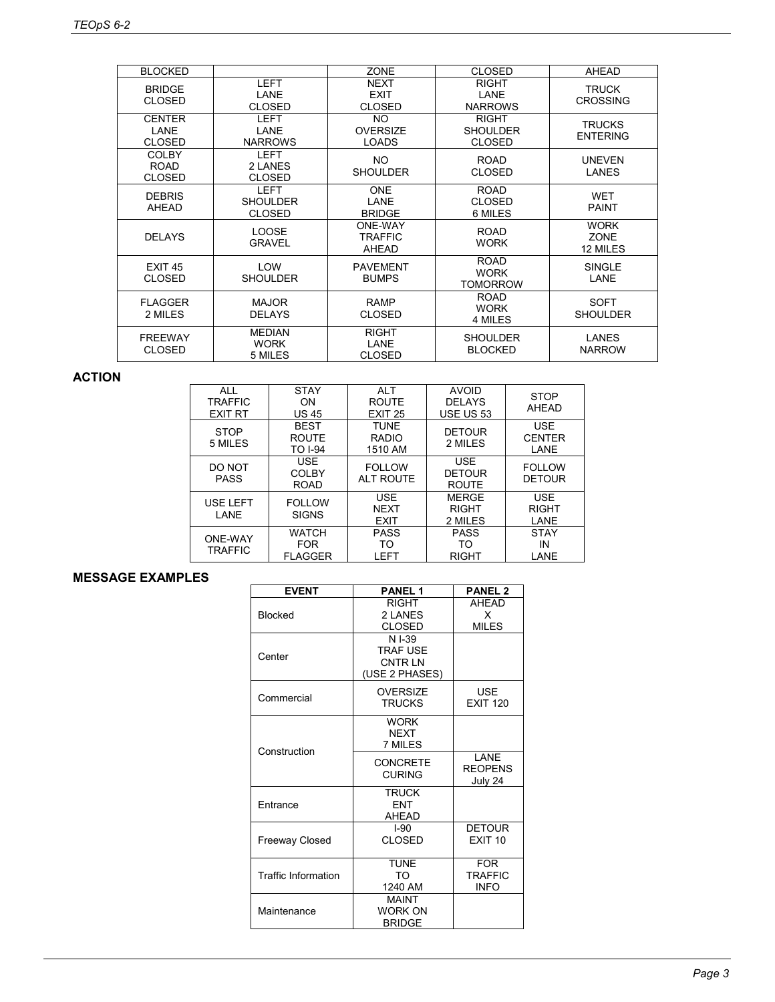| <b>BLOCKED</b>                        |                                                 | <b>ZONE</b>                                  | <b>CLOSED</b>                                    | <b>AHEAD</b>                           |
|---------------------------------------|-------------------------------------------------|----------------------------------------------|--------------------------------------------------|----------------------------------------|
| <b>BRIDGE</b><br><b>CLOSED</b>        | <b>LEFT</b><br>LANE<br><b>CLOSED</b>            | <b>NEXT</b><br><b>EXIT</b><br><b>CLOSED</b>  | <b>RIGHT</b><br>LANE<br><b>NARROWS</b>           | <b>TRUCK</b><br><b>CROSSING</b>        |
| <b>CENTER</b><br>I ANF<br>CLOSED      | <b>LEFT</b><br>LANE<br><b>NARROWS</b>           | <b>NO</b><br><b>OVERSIZE</b><br><b>LOADS</b> | <b>RIGHT</b><br><b>SHOULDER</b><br><b>CLOSED</b> | <b>TRUCKS</b><br><b>ENTERING</b>       |
| <b>COLBY</b><br><b>ROAD</b><br>CLOSED | <b>LEFT</b><br>2 I ANFS<br><b>CLOSED</b>        | NO.<br><b>SHOULDER</b>                       | <b>ROAD</b><br><b>CLOSED</b>                     | <b>UNEVEN</b><br>LANES                 |
| <b>DEBRIS</b><br>AHEAD                | <b>LEFT</b><br><b>SHOULDER</b><br><b>CLOSED</b> | <b>ONE</b><br>LANE<br><b>BRIDGE</b>          | <b>ROAD</b><br><b>CLOSED</b><br>6 MILES          | <b>WET</b><br><b>PAINT</b>             |
| <b>DELAYS</b>                         | <b>LOOSE</b><br><b>GRAVEL</b>                   | <b>ONE-WAY</b><br><b>TRAFFIC</b><br>AHEAD    | <b>ROAD</b><br><b>WORK</b>                       | <b>WORK</b><br><b>ZONE</b><br>12 MILES |
| <b>EXIT 45</b><br><b>CLOSED</b>       | LOW<br><b>SHOULDER</b>                          | <b>PAVEMENT</b><br><b>BUMPS</b>              | <b>ROAD</b><br><b>WORK</b><br><b>TOMORROW</b>    | <b>SINGLE</b><br>LANE                  |
| <b>FLAGGER</b><br>2 MILES             | MAJOR.<br><b>DELAYS</b>                         | <b>RAMP</b><br><b>CLOSED</b>                 | <b>ROAD</b><br><b>WORK</b><br>4 MILES            | <b>SOFT</b><br><b>SHOULDER</b>         |
| <b>FREEWAY</b><br><b>CLOSED</b>       | <b>MEDIAN</b><br><b>WORK</b><br>5 MILES         | <b>RIGHT</b><br>LANE<br><b>CLOSED</b>        | <b>SHOULDER</b><br><b>BLOCKED</b>                | <b>LANES</b><br><b>NARROW</b>          |

# **ACTION**

| <b>ALL</b><br><b>TRAFFIC</b><br><b>EXIT RT</b> | <b>STAY</b><br><b>ON</b><br><b>US 45</b>      | <b>ALT</b><br><b>ROUTE</b><br><b>EXIT 25</b> | <b>AVOID</b><br><b>DELAYS</b><br><b>USE US 53</b> | <b>STOP</b><br>AHEAD                |
|------------------------------------------------|-----------------------------------------------|----------------------------------------------|---------------------------------------------------|-------------------------------------|
| <b>STOP</b><br>5 MILES                         | <b>BEST</b><br><b>ROUTE</b><br><b>TO I-94</b> | <b>TUNE</b><br><b>RADIO</b><br>1510 AM       | <b>DETOUR</b><br>2 MILES                          | <b>USE</b><br><b>CENTER</b><br>LANE |
| DO NOT<br><b>PASS</b>                          | <b>USE</b><br><b>COLBY</b><br><b>ROAD</b>     | <b>FOLLOW</b><br><b>ALT ROUTE</b>            | <b>USE</b><br><b>DETOUR</b><br><b>ROUTE</b>       | <b>FOLLOW</b><br><b>DETOUR</b>      |
| USE LEFT<br>LANE                               | <b>FOLLOW</b><br><b>SIGNS</b>                 | <b>USE</b><br><b>NEXT</b><br><b>EXIT</b>     | <b>MERGE</b><br><b>RIGHT</b><br>2 MILES           | <b>USE</b><br><b>RIGHT</b><br>LANE  |
| ONE-WAY<br><b>TRAFFIC</b>                      | <b>WATCH</b><br><b>FOR</b><br><b>FLAGGER</b>  | <b>PASS</b><br>TO<br>LEFT                    | <b>PASS</b><br>TO<br><b>RIGHT</b>                 | <b>STAY</b><br>IN<br>LANE           |

# **MESSAGE EXAMPLES**

| <b>EVENT</b>          | <b>PANEL 1</b>                  | <b>PANEL 2</b>  |
|-----------------------|---------------------------------|-----------------|
|                       | <b>RIGHT</b>                    | <b>AHEAD</b>    |
| <b>Blocked</b>        | 2 LANES                         | x               |
|                       | <b>CLOSED</b>                   | <b>MILES</b>    |
|                       | N I-39                          |                 |
| Center                | <b>TRAF USE</b>                 |                 |
|                       | <b>CNTRLN</b><br>(USE 2 PHASES) |                 |
|                       |                                 |                 |
| Commercial            | <b>OVERSIZE</b>                 | <b>USE</b>      |
|                       | <b>TRUCKS</b>                   | <b>EXIT 120</b> |
|                       | <b>WORK</b>                     |                 |
|                       | <b>NEXT</b>                     |                 |
| Construction          | 7 MILES                         |                 |
|                       | <b>CONCRETE</b>                 | LANE            |
|                       | <b>CURING</b>                   | <b>REOPENS</b>  |
|                       |                                 | July 24         |
| <b>Fntrance</b>       | <b>TRUCK</b><br><b>FNT</b>      |                 |
|                       | AHEAD                           |                 |
|                       | $I-90$                          | <b>DETOUR</b>   |
| <b>Freeway Closed</b> | <b>CLOSED</b>                   | <b>EXIT 10</b>  |
|                       |                                 |                 |
|                       | <b>TUNE</b>                     | <b>FOR</b>      |
| Traffic Information   | <b>TO</b>                       | <b>TRAFFIC</b>  |
|                       | 1240 AM                         | <b>INFO</b>     |
|                       | <b>MAINT</b>                    |                 |
| Maintenance           | <b>WORK ON</b>                  |                 |
|                       | <b>BRIDGE</b>                   |                 |